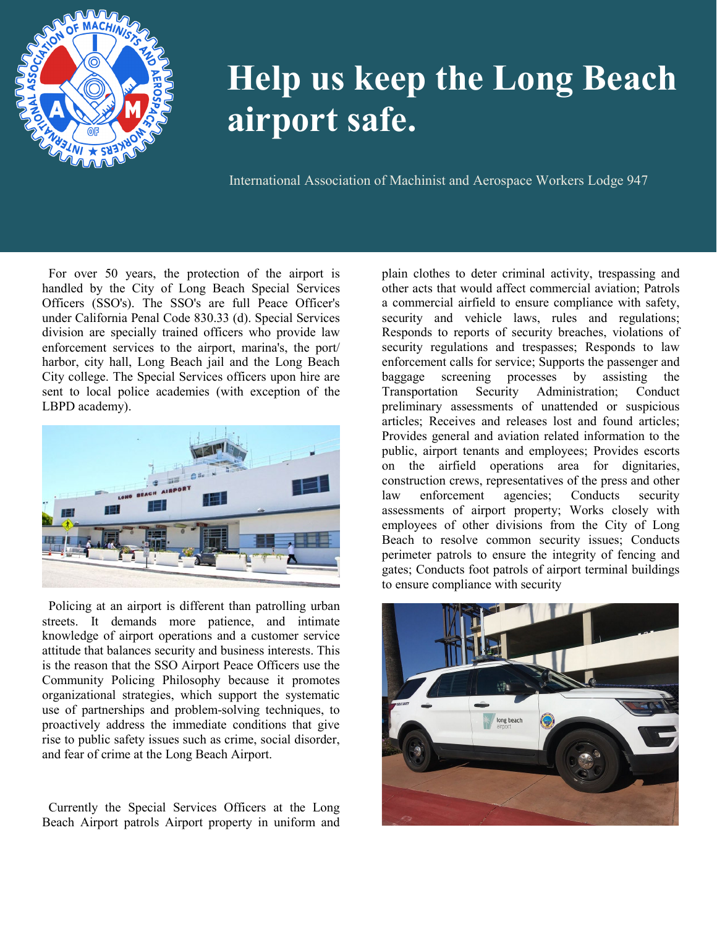

## **Help us keep the Long Beach airport safe.**

International Association of Machinist and Aerospace Workers Lodge 947

 For over 50 years, the protection of the airport is handled by the City of Long Beach Special Services Officers (SSO's). The SSO's are full Peace Officer's under California Penal Code 830.33 (d). Special Services division are specially trained officers who provide law enforcement services to the airport, marina's, the port/ harbor, city hall, Long Beach jail and the Long Beach City college. The Special Services officers upon hire are sent to local police academies (with exception of the LBPD academy).



Policing at an airport is different than patrolling urban streets. It demands more patience, and intimate knowledge of airport operations and a customer service attitude that balances security and business interests. This is the reason that the SSO Airport Peace Officers use the Community Policing Philosophy because it promotes organizational strategies, which support the systematic use of partnerships and problem-solving techniques, to proactively address the immediate conditions that give rise to public safety issues such as crime, social disorder, and fear of crime at the Long Beach Airport.

Currently the Special Services Officers at the Long Beach Airport patrols Airport property in uniform and plain clothes to deter criminal activity, trespassing and other acts that would affect commercial aviation; Patrols a commercial airfield to ensure compliance with safety, security and vehicle laws, rules and regulations; Responds to reports of security breaches, violations of security regulations and trespasses; Responds to law enforcement calls for service; Supports the passenger and baggage screening processes by assisting the Transportation Security Administration; Conduct preliminary assessments of unattended or suspicious articles; Receives and releases lost and found articles; Provides general and aviation related information to the public, airport tenants and employees; Provides escorts on the airfield operations area for dignitaries, construction crews, representatives of the press and other law enforcement agencies; Conducts security assessments of airport property; Works closely with employees of other divisions from the City of Long Beach to resolve common security issues; Conducts perimeter patrols to ensure the integrity of fencing and gates; Conducts foot patrols of airport terminal buildings to ensure compliance with security